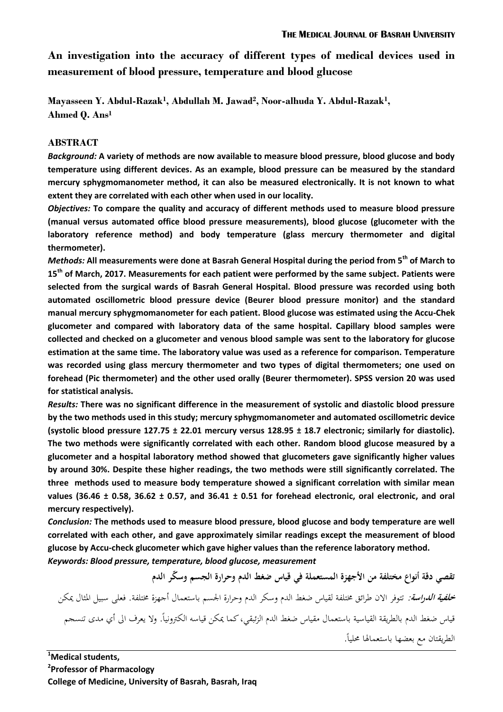**An investigation into the accuracy of different types of medical devices used in measurement of blood pressure, temperature and blood glucose**

**Mayasseen Y. Abdul-Razak<sup>1</sup> , Abdullah M. Jawad<sup>2</sup> , Noor-alhuda Y. Abdul-Razak<sup>1</sup> , Ahmed Q. Ans<sup>1</sup>**

### **ABSTRACT**

*Background:* **A variety of methods are now available to measure blood pressure, blood glucose and body temperature using different devices. As an example, blood pressure can be measured by the standard mercury sphygmomanometer method, it can also be measured electronically. It is not known to what extent they are correlated with each other when used in our locality.** 

*Objectives:* **To compare the quality and accuracy of different methods used to measure blood pressure (manual versus automated office blood pressure measurements), blood glucose (glucometer with the laboratory reference method) and body temperature (glass mercury thermometer and digital thermometer).**

*Methods:* **All measurements were done at Basrah General Hospital during the period from 5 th of March to 15th of March, 2017. Measurements for each patient were performed by the same subject. Patients were selected from the surgical wards of Basrah General Hospital. Blood pressure was recorded using both automated oscillometric blood pressure device (Beurer blood pressure monitor) and the standard manual mercury sphygmomanometer for each patient. Blood glucose was estimated using the Accu-Chek glucometer and compared with laboratory data of the same hospital. Capillary blood samples were collected and checked on a glucometer and venous blood sample was sent to the laboratory for glucose estimation at the same time. The laboratory value was used as a reference for comparison. Temperature was recorded using glass mercury thermometer and two types of digital thermometers; one used on forehead (Pic thermometer) and the other used orally (Beurer thermometer). SPSS version 20 was used for statistical analysis.**

*Results:* **There was no significant difference in the measurement of systolic and diastolic blood pressure by the two methods used in this study; mercury sphygmomanometer and automated oscillometric device (systolic blood pressure 127.75 ± 22.01 mercury versus 128.95 ± 18.7 electronic; similarly for diastolic). The two methods were significantly correlated with each other. Random blood glucose measured by a glucometer and a hospital laboratory method showed that glucometers gave significantly higher values by around 30%. Despite these higher readings, the two methods were still significantly correlated. The three methods used to measure body temperature showed a significant correlation with similar mean values (36.46 ± 0.58, 36.62 ± 0.57, and 36.41 ± 0.51 for forehead electronic, oral electronic, and oral mercury respectively).**

*Conclusion:* **The methods used to measure blood pressure, blood glucose and body temperature are well correlated with each other, and gave approximately similar readings except the measurement of blood glucose by Accu-check glucometer which gave higher values than the reference laboratory method.** *Keywords: Blood pressure, temperature, blood glucose, measurement*

**تقصي دقة أنواع مختلفة من األجهزة المستعملة في قياس ضغط الدم وحرارة الجسم وس ّكر الدم خلفية الدراسة:** تتوفر االن طرائق خمتلفة لقياس ضغط الدم وسكر الدم وحرارة اجلسم باستعمال أجهزة خمتلفة. فعلى سبيل ادلثال ميكن قياس ضغط الدم بالطريقة القياسية باستعمال مقياس ضغط الدم الزئبقي، كما يمكن قياسه الكترونياً. ولا يعرف الى أي مدى تنسجم الطريقتان مع بعضها باستعمالها محلياً.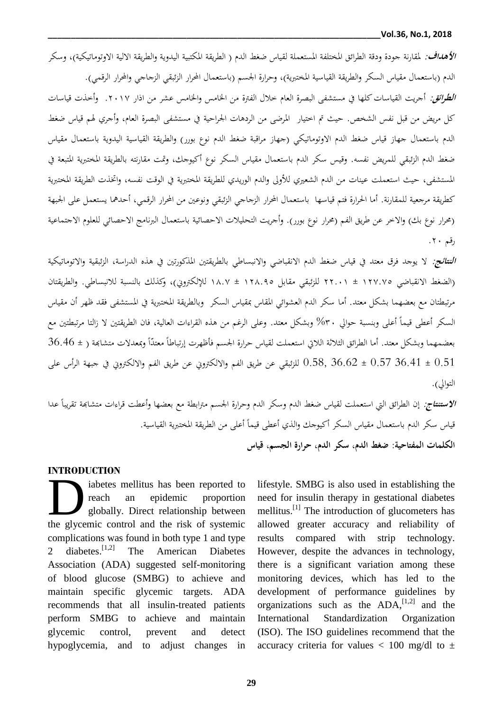**الأه***داف:* **لم**قارنة جودة ودقة الطرائق المختلفة المستعملة لقياس ضغط الدم ( الطريقة المكتبية اليدوية والطريقة الالية الاوتوماتيكية)، وسكر الدم (باستعمال مقياس السكر والطريقة القياسية المختبرية)، وحرارة الجسم (باستعمال المحرار الزئبقي الزجاجي والمحرار الرقمي).

**ا***لطرائق:* **أ**جريت القياسات كلها في مستشفى البصرة العام خلال الفترة من الخامس والخامس عشر من اذار ٢٠١٧. وأخذت قياسات كل مريض من قبل نفس الشخص. حيث تم اختيار المرضى من الردهات الجراحية في مستشفى البصرة العام، وأجري لهم قياس ضغط الدم باستعمال جهاز قياس ضغط الدم الاوتوماتيكي (جهاز مراقبة ضغط الدم نوع بورر) والطريقة القياسية اليدوية باستعمال مقياس ضغط الدم الزئبقي للمريض نفسه. وقيس سكر الدم باستعمال مقياس السكر نوع أكيوجك، وتمت مقارنته بالطريقة المختبرية المتبعة في المستشفى، حيث استعملت عينات من الدم الشعيري للأولى والدم الوريدي للطريقة المختبرية في الوقت نفسه، واتخذت الطريقة المختبرية كطريقة مرجعية للمقارنة. أما الحرارة فتم قياسها باستعمال المحرار الزجاجي الزئبقي ونوعين من المحرار الرقمي، أحدهما يستعمل على الجبهة (محرار نوع بك) والاخر عن طريق الفم (محرار نوع بورر). وأجريت التحليلات الاحصائية باستعمال البرنامج الاحصائي للعلوم الاجتماعية رقم ۲۰.

ا*لنتائج:* **لا ي**وجد فرق معتد في قياس ضغط الدم الانقباضي والانبساطي بالطريقتين المذكورتين في هذه الدراسة، الزئبقية والاتوماتيكية )الضغط االنقباضي 072.21 ± 77.10 للزئبقي مقابل 07..21 ± 0..2 لإللكرتوين(، وكذلك بالنسبة لالنبساطي. والطريقتان مرتبطتان مع بعضهما بشكل معتد. أما سكر الدم العشوائي المقاس بمقياس السكر وبالطريقة المختبرية في المستشفى فقد ظهر أن مقياس السكر أعطى قيماً أعلى وبنسبة حوالي ٣٠% وبشكل معتد. وعلى الرغم من هذه القراءات العالية، فان الطريقتين لا زالتا مرتبطتين مع بعضمهما وبشكل معتد. أما الطرائق الثلاثة اللاتي استعملت لقياس حرارة الجسم فأظهرت إرتباطاً معتدّاً وبمعدلات متشابحة ( ± 36.46 ا 0.51 ± 36.41 0.57 ± 36.62 0.58, للزئبقي عن طريق الفم وااللكرتوين عن طريق الفم وااللكرتوين يف جبهة الرأس على التوالي).

**الاستنتاج**: إن الطرائق التي استعملت لقياس ضغط الدم وسكر الدم وحرارة الجسم مترابطة مع بعضها وأعطت قراءات متشابمة تقريباً عدا قياس سكر الدم باستعمال مقياس السكر أكيوجك والذي أعطى قيماً أعلى من الطريقة المختبرية القياسية. **الكلمات المفتاحية: ضغط الدم، سكر الدم، حرارة الجسم، قياس**

### **INTRODUCTION**

iabetes mellitus has been reported to reach an epidemic proportion globally. Direct relationship between iabetes mellitus has been reported to<br>reach an epidemic proportion<br>the glycemic control and the risk of systemic complications was found in both type 1 and type 2 diabetes.  $[1,2]$ The American Diabetes Association (ADA) suggested self-monitoring of blood glucose (SMBG) to achieve and maintain specific glycemic targets. ADA recommends that all insulin-treated patients perform SMBG to achieve and maintain glycemic control, prevent and detect hypoglycemia, and to adjust changes in

lifestyle. SMBG is also used in establishing the need for insulin therapy in gestational diabetes mellitus.<sup>[1]</sup> The introduction of glucometers has allowed greater accuracy and reliability of results compared with strip technology. However, despite the advances in technology, there is a significant variation among these monitoring devices, which has led to the development of performance guidelines by organizations such as the  $ADA$ ,  $[1,2]$  and the International Standardization Organization (ISO). The ISO guidelines recommend that the accuracy criteria for values  $< 100$  mg/dl to  $\pm$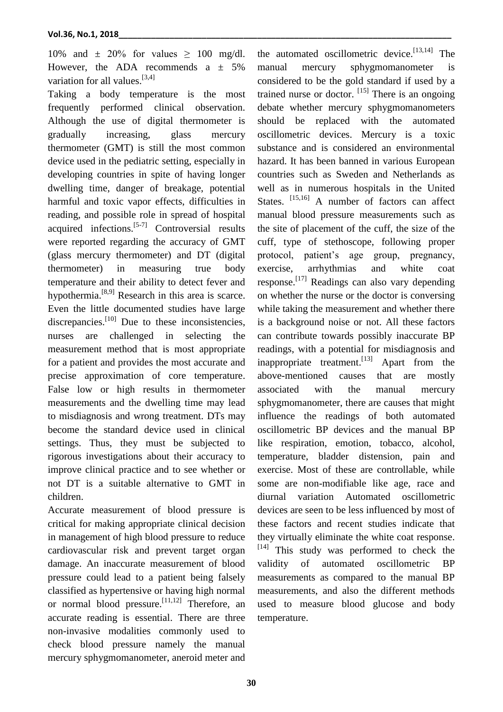10% and  $\pm$  20% for values  $\geq$  100 mg/dl. However, the ADA recommends  $a \pm 5\%$ variation for all values.<sup>[3,4]</sup>

Taking a body temperature is the most frequently performed clinical observation. Although the use of digital thermometer is gradually increasing, glass mercury thermometer (GMT) is still the most common device used in the pediatric setting, especially in developing countries in spite of having longer dwelling time, danger of breakage, potential harmful and toxic vapor effects, difficulties in reading, and possible role in spread of hospital acquired infections.  $[5-7]$  Controversial results were reported regarding the accuracy of GMT (glass mercury thermometer) and DT (digital thermometer) in measuring true body temperature and their ability to detect fever and hypothermia.<sup>[8,9]</sup> Research in this area is scarce. Even the little documented studies have large discrepancies.<sup>[10]</sup> Due to these inconsistencies, nurses are challenged in selecting the measurement method that is most appropriate for a patient and provides the most accurate and precise approximation of core temperature. False low or high results in thermometer measurements and the dwelling time may lead to misdiagnosis and wrong treatment. DTs may become the standard device used in clinical settings. Thus, they must be subjected to rigorous investigations about their accuracy to improve clinical practice and to see whether or not DT is a suitable alternative to GMT in children.

Accurate measurement of blood pressure is critical for making appropriate clinical decision in management of high blood pressure to reduce cardiovascular risk and prevent target organ damage. An inaccurate measurement of blood pressure could lead to a patient being falsely classified as hypertensive or having high normal or normal blood pressure.<sup>[11,12]</sup> Therefore, an accurate reading is essential. There are three non-invasive modalities commonly used to check blood pressure namely the manual mercury sphygmomanometer, aneroid meter and

the automated oscillometric device. [13,14] The manual mercury sphygmomanometer is considered to be the gold standard if used by a trained nurse or doctor. [15] There is an ongoing debate whether mercury sphygmomanometers should be replaced with the automated oscillometric devices. Mercury is a toxic substance and is considered an environmental hazard. It has been banned in various European countries such as Sweden and Netherlands as well as in numerous hospitals in the United States. <sup>[15,16]</sup> A number of factors can affect manual blood pressure measurements such as the site of placement of the cuff, the size of the cuff, type of stethoscope, following proper protocol, patient's age group, pregnancy, exercise, arrhythmias and white coat response.<sup>[17]</sup> Readings can also vary depending on whether the nurse or the doctor is conversing while taking the measurement and whether there is a background noise or not. All these factors can contribute towards possibly inaccurate BP readings, with a potential for misdiagnosis and inappropriate treatment.<sup>[13]</sup> Apart from the above-mentioned causes that are mostly associated with the manual mercury sphygmomanometer, there are causes that might influence the readings of both automated oscillometric BP devices and the manual BP like respiration, emotion, tobacco, alcohol, temperature, bladder distension, pain and exercise. Most of these are controllable, while some are non-modifiable like age, race and diurnal variation Automated oscillometric devices are seen to be less influenced by most of these factors and recent studies indicate that they virtually eliminate the white coat response. [14] This study was performed to check the validity of automated oscillometric BP measurements as compared to the manual BP measurements, and also the different methods used to measure blood glucose and body temperature.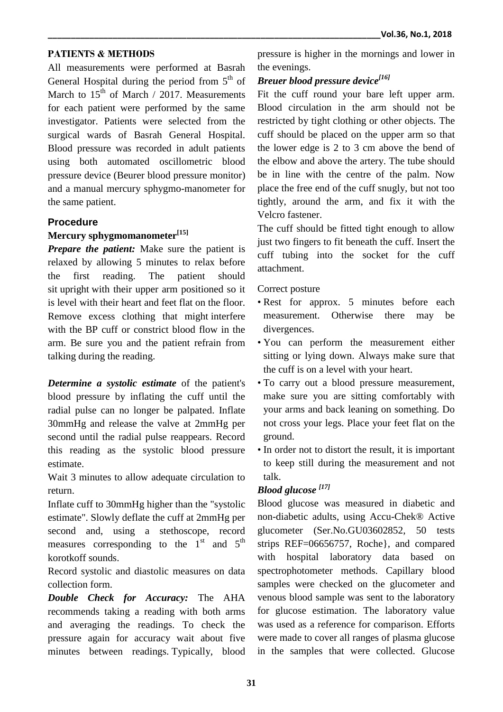### **PATIENTS & METHODS**

All measurements were performed at Basrah General Hospital during the period from  $5<sup>th</sup>$  of March to  $15<sup>th</sup>$  of March / 2017. Measurements for each patient were performed by the same investigator. Patients were selected from the surgical wards of Basrah General Hospital. Blood pressure was recorded in adult patients using both automated oscillometric blood pressure device (Beurer blood pressure monitor) and a manual mercury sphygmo-manometer for the same patient.

### **Procedure**

## **Mercury sphygmomanometer[15]**

*Prepare the patient:* Make sure the patient is relaxed by allowing 5 minutes to relax before the first reading. The patient should sit upright with their upper arm positioned so it is level with their heart and feet flat on the floor. Remove excess clothing that might interfere with the BP cuff or constrict blood flow in the arm. Be sure you and the patient refrain from talking during the reading.

*Determine a systolic estimate* of the patient's blood pressure by inflating the cuff until the radial pulse can no longer be palpated. Inflate 30mmHg and release the valve at 2mmHg per second until the radial pulse reappears. Record this reading as the systolic blood pressure estimate.

Wait 3 minutes to allow adequate circulation to return.

Inflate cuff to 30mmHg higher than the "systolic estimate". Slowly deflate the cuff at 2mmHg per second and, using a stethoscope, record measures corresponding to the  $1<sup>st</sup>$  and  $5<sup>th</sup>$ korotkoff sounds.

Record systolic and diastolic measures on data collection form.

*Double Check for Accuracy:* The AHA recommends taking a reading with both arms and averaging the readings. To check the pressure again for accuracy wait about five minutes between readings. Typically, blood pressure is higher in the mornings and lower in the evenings.

# *Breuer blood pressure device[16]*

Fit the cuff round your bare left upper arm. Blood circulation in the arm should not be restricted by tight clothing or other objects. The cuff should be placed on the upper arm so that the lower edge is 2 to 3 cm above the bend of the elbow and above the artery. The tube should be in line with the centre of the palm. Now place the free end of the cuff snugly, but not too tightly, around the arm, and fix it with the Velcro fastener.

The cuff should be fitted tight enough to allow just two fingers to fit beneath the cuff. Insert the cuff tubing into the socket for the cuff attachment.

### Correct posture

- Rest for approx. 5 minutes before each measurement. Otherwise there may be divergences.
- You can perform the measurement either sitting or lying down. Always make sure that the cuff is on a level with your heart.
- To carry out a blood pressure measurement, make sure you are sitting comfortably with your arms and back leaning on something. Do not cross your legs. Place your feet flat on the ground.
- In order not to distort the result, it is important to keep still during the measurement and not talk.

# *Blood glucose [17]*

Blood glucose was measured in diabetic and non-diabetic adults, using Accu-Chek® Active glucometer (Ser.No.GU03602852, 50 tests strips REF=06656757, Roche}, and compared with hospital laboratory data based on spectrophotometer methods. Capillary blood samples were checked on the glucometer and venous blood sample was sent to the laboratory for glucose estimation. The laboratory value was used as a reference for comparison. Efforts were made to cover all ranges of plasma glucose in the samples that were collected. Glucose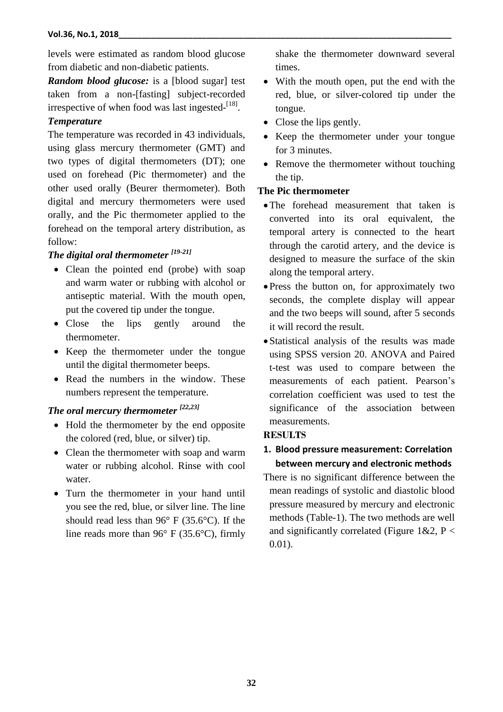levels were estimated as random blood glucose from diabetic and non-diabetic patients.

*Random blood glucose:* is a [blood sugar] test taken from a non-[fasting] subject-recorded irrespective of when food was last ingested-<sup>[18]</sup>.

### *Temperature*

The temperature was recorded in 43 individuals, using glass mercury thermometer (GMT) and two types of digital thermometers (DT); one used on forehead (Pic thermometer) and the other used orally (Beurer thermometer). Both digital and mercury thermometers were used orally, and the Pic thermometer applied to the forehead on the temporal artery distribution, as follow:

## *The digital oral thermometer [19-21]*

- Clean the pointed end (probe) with soap and warm water or rubbing with alcohol or antiseptic material. With the mouth open, put the covered tip under the tongue.
- Close the lips gently around the thermometer.
- Keep the thermometer under the tongue until the digital thermometer beeps.
- Read the numbers in the window. These numbers represent the temperature.

# *The oral mercury thermometer [22,23]*

- Hold the thermometer by the end opposite the colored (red, blue, or silver) tip.
- Clean the thermometer with soap and warm water or rubbing alcohol. Rinse with cool water.
- Turn the thermometer in your hand until you see the red, blue, or silver line. The line should read less than 96° F (35.6°C). If the line reads more than 96° F (35.6°C), firmly

shake the thermometer downward several times.

- With the mouth open, put the end with the red, blue, or silver-colored tip under the tongue.
- Close the lips gently.
- Keep the thermometer under your tongue for 3 minutes.
- Remove the thermometer without touching the tip.

### **The Pic thermometer**

- The forehead measurement that taken is converted into its oral equivalent, the temporal artery is connected to the heart through the carotid artery, and the device is designed to measure the surface of the skin along the temporal artery.
- Press the button on, for approximately two seconds, the complete display will appear and the two beeps will sound, after 5 seconds it will record the result.
- Statistical analysis of the results was made using SPSS version 20. ANOVA and Paired t-test was used to compare between the measurements of each patient. Pearson's correlation coefficient was used to test the significance of the association between measurements.

## **RESULTS**

# **1. Blood pressure measurement: Correlation between mercury and electronic methods**

There is no significant difference between the mean readings of systolic and diastolic blood pressure measured by mercury and electronic methods (Table-1). The two methods are well and significantly correlated (Figure 1&2, P < 0.01).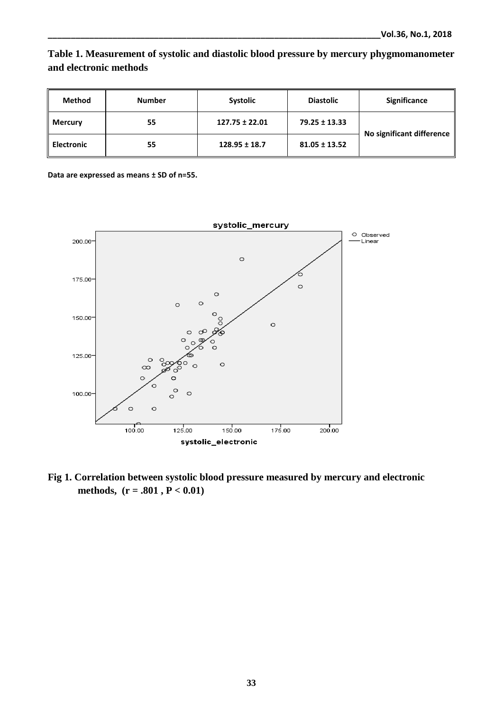# **Table 1. Measurement of systolic and diastolic blood pressure by mercury phygmomanometer and electronic methods**

| <b>Method</b>     | <b>Number</b> | Systolic           | <b>Diastolic</b>  | Significance              |  |
|-------------------|---------------|--------------------|-------------------|---------------------------|--|
| <b>Mercury</b>    | 55            | $127.75 \pm 22.01$ | 79.25 ± 13.33     | No significant difference |  |
| <b>Electronic</b> | 55            | $128.95 \pm 18.7$  | $81.05 \pm 13.52$ |                           |  |

**Data are expressed as means ± SD of n=55.** 



**Fig 1. Correlation between systolic blood pressure measured by mercury and electronic methods, (r = .801 , P < 0.01)**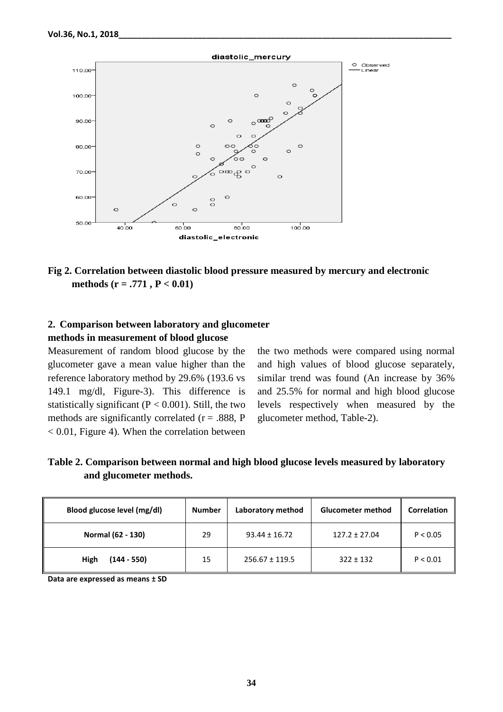

## **Fig 2. Correlation between diastolic blood pressure measured by mercury and electronic methods (r = .771 , P < 0.01)**

### **2. Comparison between laboratory and glucometer methods in measurement of blood glucose**

Measurement of random blood glucose by the glucometer gave a mean value higher than the reference laboratory method by 29.6% (193.6 vs 149.1 mg/dl, Figure-3). This difference is statistically significant ( $P < 0.001$ ). Still, the two methods are significantly correlated ( $r = .888$ , P  $< 0.01$ , Figure 4). When the correlation between

the two methods were compared using normal and high values of blood glucose separately, similar trend was found (An increase by 36% and 25.5% for normal and high blood glucose levels respectively when measured by the glucometer method, Table-2).

| Table 2. Comparison between normal and high blood glucose levels measured by laboratory |  |  |
|-----------------------------------------------------------------------------------------|--|--|
| and glucometer methods.                                                                 |  |  |

| Blood glucose level (mg/dl) | <b>Number</b> | Laboratory method  | <b>Glucometer method</b> | Correlation |
|-----------------------------|---------------|--------------------|--------------------------|-------------|
| Normal (62 - 130)           | 29            | $93.44 \pm 16.72$  | $127.2 \pm 27.04$        | P < 0.05    |
| $(144 - 550)$<br>High       | 15            | $256.67 \pm 119.5$ | $322 \pm 132$            | P < 0.01    |

**Data are expressed as means ± SD**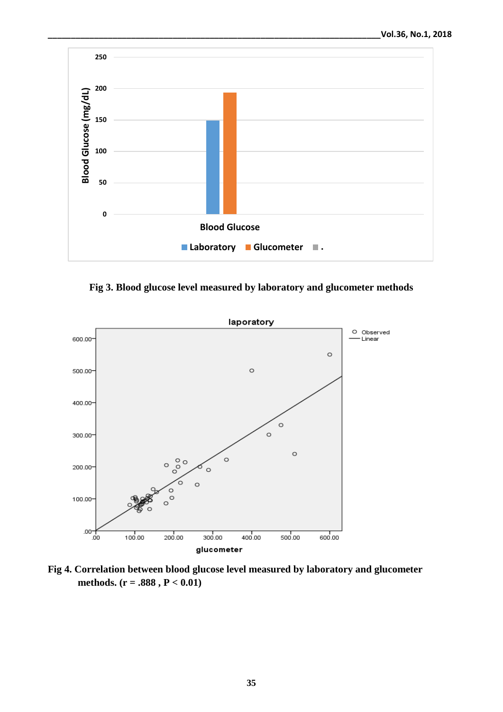

**Fig 3. Blood glucose level measured by laboratory and glucometer methods**



**Fig 4. Correlation between blood glucose level measured by laboratory and glucometer methods. (r = .888 , P < 0.01)**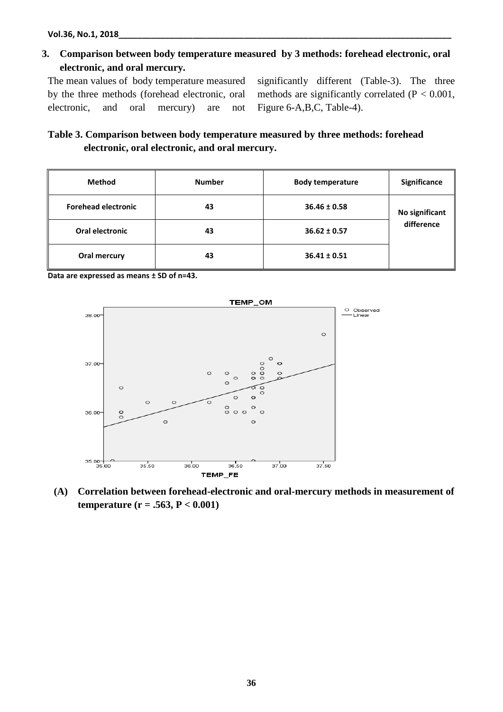**3. Comparison between body temperature measured by 3 methods: forehead electronic, oral electronic, and oral mercury.**

The mean values of body temperature measured by the three methods (forehead electronic, oral electronic, and oral mercury) are not significantly different (Table-3). The three methods are significantly correlated ( $P < 0.001$ , Figure 6-A,B,C, Table-4).

# **Table 3. Comparison between body temperature measured by three methods: forehead electronic, oral electronic, and oral mercury.**

| <b>Method</b>              | <b>Number</b> | <b>Body temperature</b> | Significance   |
|----------------------------|---------------|-------------------------|----------------|
| <b>Forehead electronic</b> | 43            | $36.46 \pm 0.58$        | No significant |
| Oral electronic            | 43            | $36.62 \pm 0.57$        | difference     |
| Oral mercury               | 43            | $36.41 \pm 0.51$        |                |

**Data are expressed as means ± SD of n=43.**



**(A) Correlation between forehead-electronic and oral-mercury methods in measurement of temperature (r = .563, P < 0.001)**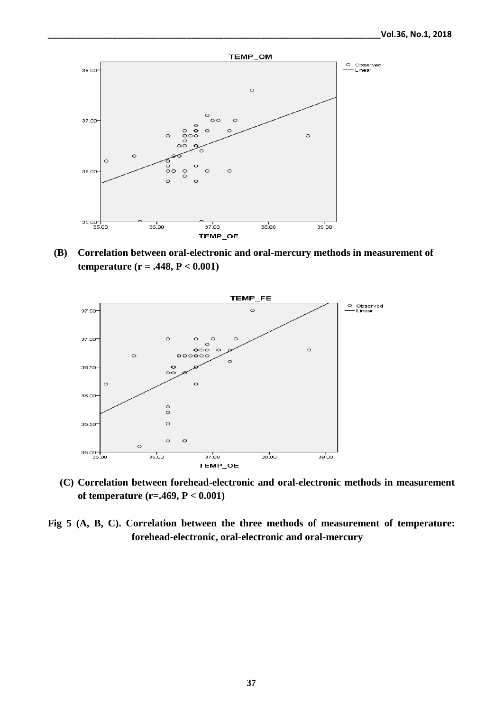

**(B) Correlation between oral-electronic and oral-mercury methods in measurement of temperature (r = .448, P < 0.001)**



**(C) Correlation between forehead-electronic and oral-electronic methods in measurement of temperature (r=.469, P < 0.001)**

**Fig 5 (A, B, C). Correlation between the three methods of measurement of temperature: forehead-electronic, oral-electronic and oral-mercury**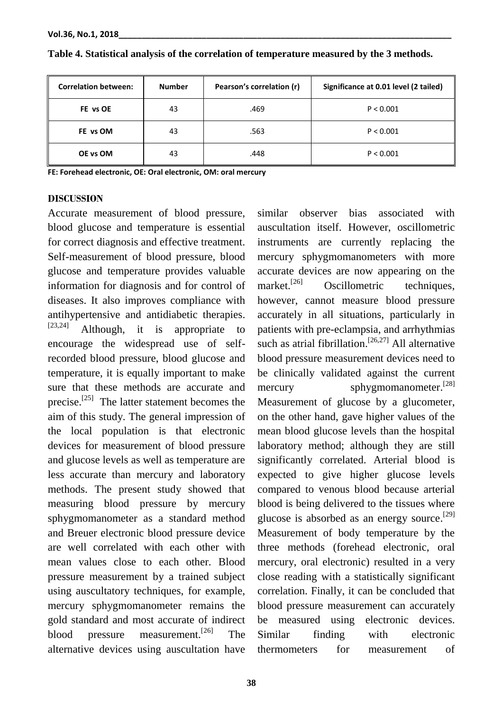| <b>Correlation between:</b> | <b>Number</b> | Pearson's correlation (r) | Significance at 0.01 level (2 tailed) |
|-----------------------------|---------------|---------------------------|---------------------------------------|
| FE vs OE                    | 43            | .469                      | P < 0.001                             |
| FE vs OM                    | 43            | .563                      | P < 0.001                             |
| OE vs OM                    | 43            | .448                      | P < 0.001                             |

**Table 4. Statistical analysis of the correlation of temperature measured by the 3 methods.**

**FE: Forehead electronic, OE: Oral electronic, OM: oral mercury**

#### **DISCUSSION**

Accurate measurement of blood pressure, blood glucose and temperature is essential for correct diagnosis and effective treatment. Self-measurement of blood pressure, blood glucose and temperature provides valuable information for diagnosis and for control of diseases. It also improves compliance with antihypertensive and antidiabetic therapies.  $[23,24]$  Although, it is appropriate to encourage the widespread use of selfrecorded blood pressure, blood glucose and temperature, it is equally important to make sure that these methods are accurate and precise.<sup>[25]</sup> The latter statement becomes the aim of this study. The general impression of the local population is that electronic devices for measurement of blood pressure and glucose levels as well as temperature are less accurate than mercury and laboratory methods. The present study showed that measuring blood pressure by mercury sphygmomanometer as a standard method and Breuer electronic blood pressure device are well correlated with each other with mean values close to each other. Blood pressure measurement by a trained subject using auscultatory techniques, for example, mercury sphygmomanometer remains the gold standard and most accurate of indirect blood pressure measurement.<sup>[26]</sup> The alternative devices using auscultation have

similar observer bias associated with auscultation itself. However, oscillometric instruments are currently replacing the mercury sphygmomanometers with more accurate devices are now appearing on the market.<sup>[26]</sup> Oscillometric techniques, however, cannot measure blood pressure accurately in all situations, particularly in patients with pre-eclampsia, and arrhythmias such as atrial fibrillation.<sup>[26,27]</sup> All alternative blood pressure measurement devices need to be clinically validated against the current mercury sphygmomanometer.<sup>[28]</sup> Measurement of glucose by a glucometer, on the other hand, gave higher values of the mean blood glucose levels than the hospital laboratory method; although they are still significantly correlated. Arterial blood is expected to give higher glucose levels compared to venous blood because arterial blood is being delivered to the tissues where glucose is absorbed as an energy source.<sup>[29]</sup> Measurement of body temperature by the three methods (forehead electronic, oral mercury, oral electronic) resulted in a very close reading with a statistically significant correlation. Finally, it can be concluded that blood pressure measurement can accurately be measured using electronic devices. Similar finding with electronic thermometers for measurement of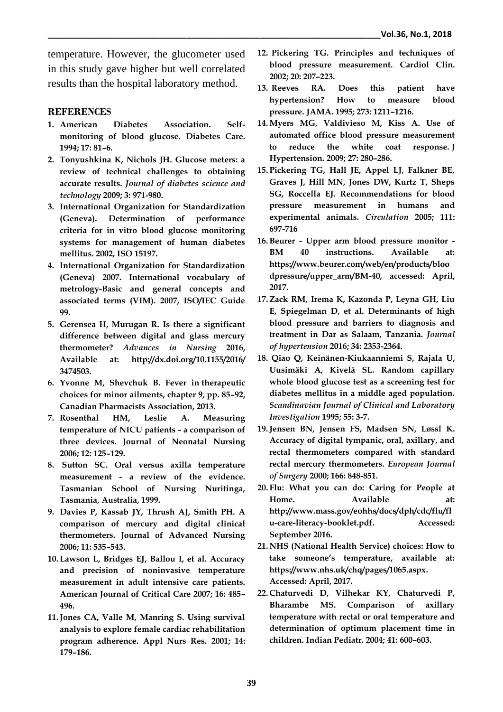temperature. However, the glucometer used in this study gave higher but well correlated results than the hospital laboratory method.

#### **REFERENCES**

- **1. American Diabetes Association. Selfmonitoring of blood glucose. Diabetes Care. 1994; 17: 81–6.**
- **2. Tonyushkina K, Nichols JH. Glucose meters: a review of technical challenges to obtaining accurate results.** *Journal of diabetes science and technology* **2009; 3: 971-980.**
- **3. International Organization for Standardization (Geneva). Determination of performance criteria for in vitro blood glucose monitoring systems for management of human diabetes mellitus. 2002, ISO 15197.**
- **4. International Organization for Standardization (Geneva) 2007. International vocabulary of metrology-Basic and general concepts and associated terms (VIM). 2007, ISO/IEC Guide 99.**
- **5. Gerensea H, Murugan R. Is there a significant difference between digital and glass mercury thermometer?** *Advances in Nursing* **2016, Available at: http://dx.doi.org/10.1155/2016/ 3474503.**
- **6. Yvonne M, Shevchuk B. Fever in therapeutic choices for minor ailments, chapter 9, pp. 85–92, Canadian Pharmacists Association, 2013.**
- **7. Rosenthal HM, Leslie A. Measuring temperature of NICU patients - a comparison of three devices. Journal of Neonatal Nursing 2006; 12: 125–129.**
- **8. Sutton SC. Oral versus axilla temperature measurement - a review of the evidence. Tasmanian School of Nursing Nuritinga, Tasmania, Australia, 1999.**
- **9. Davies P, Kassab JY, Thrush AJ, Smith PH. A comparison of mercury and digital clinical thermometers. Journal of Advanced Nursing 2006; 11: 535–543.**
- **10. Lawson L, Bridges EJ, Ballou I, et al. Accuracy and precision of noninvasive temperature measurement in adult intensive care patients. American Journal of Critical Care 2007; 16: 485– 496.**
- **11.Jones CA, Valle M, Manring S. Using survival analysis to explore female cardiac rehabilitation program adherence. Appl Nurs Res. 2001; 14: 179–186.**
- **12. Pickering TG. Principles and techniques of blood pressure measurement. Cardiol Clin. 2002; 20: 207–223.**
- **13. Reeves RA. Does this patient have hypertension? How to measure blood pressure. JAMA. 1995; 273: 1211–1216.**
- **14.Myers MG, Valdivieso M, Kiss A. Use of automated office blood pressure measurement to reduce the white coat response. J Hypertension. 2009; 27: 280–286.**
- **15. Pickering TG, Hall JE, Appel LJ, Falkner BE, Graves J, Hill MN, Jones DW, Kurtz T, Sheps SG, Roccella EJ. Recommendations for blood pressure measurement in humans and experimental animals.** *Circulation* **2005; 111: 697-716**
- **16.Beurer - Upper arm blood pressure monitor - BM 40 instructions. Available at: https://www.beurer.com/web/en/products/bloo dpressure/upper\_arm/BM-40, accessed: April, 2017.**
- **17.Zack RM, Irema K, Kazonda P, Leyna GH, Liu E, Spiegelman D, et al. Determinants of high blood pressure and barriers to diagnosis and treatment in Dar as Salaam, Tanzania.** *Journal of hypertension* **2016; 34: 2353-2364.**
- **18. Qiao Q, Keinänen-Kiukaanniemi S, Rajala U, Uusimäki A, Kivelä SL. Random capillary whole blood glucose test as a screening test for diabetes mellitus in a middle aged population.**  *Scandinavian Journal of Clinical and Laboratory Investigation* **1995; 55: 3-7.**
- **19.Jensen BN, Jensen FS, Madsen SN, Løssl K. Accuracy of digital tympanic, oral, axillary, and rectal thermometers compared with standard rectal mercury thermometers.** *European Journal of Surgery* **2000; 166: 848-851.**
- **20. Flu: What you can do: Caring for People at Home. Available at: http://www.mass.gov/eohhs/docs/dph/cdc/flu/fl u-care-literacy-booklet.pdf. Accessed: September 2016.**
- **21. NHS (National Health Service) choices: How to take someone's temperature, available at: https://www.nhs.uk/chq/pages/1065.aspx. Accessed: April, 2017.**
- **22. Chaturvedi D, Vilhekar KY, Chaturvedi P, Bharambe MS. Comparison of axillary temperature with rectal or oral temperature and determination of optimum placement time in children. Indian Pediatr. 2004; 41: 600–603.**